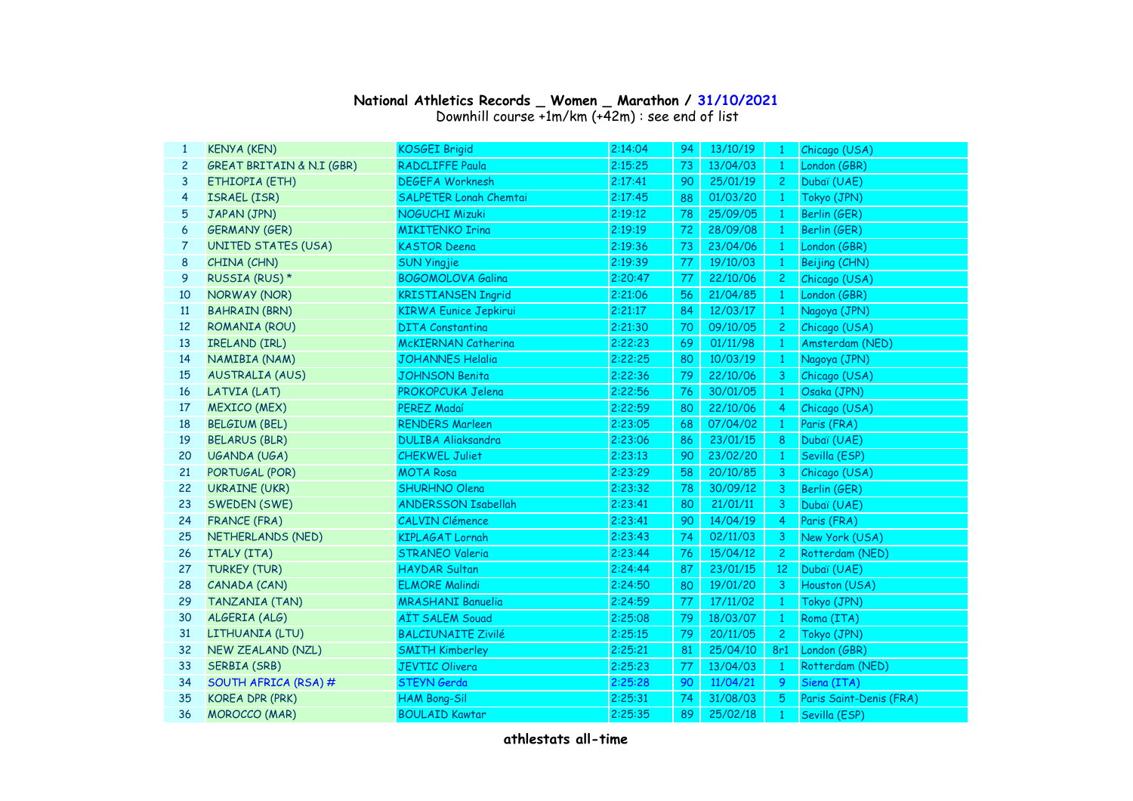## **National Athletics Records \_ Women \_ Marathon / 31/10/2021**

Downhill course +1m/km (+42m) : see end of list

| 1              | <b>KENYA (KEN)</b>                   | <b>KOSGEI Brigid</b>          | 2:14:04 | 94 | 13/10/19 | - 1            | Chicago (USA)           |
|----------------|--------------------------------------|-------------------------------|---------|----|----------|----------------|-------------------------|
| $\mathbf{2}$   | <b>GREAT BRITAIN &amp; N.I (GBR)</b> | <b>RADCLIFFE Paula</b>        | 2:15:25 | 73 | 13/04/03 | $\mathbf{1}$   | London (GBR)            |
| 3              | ETHIOPIA (ETH)                       | <b>DEGEFA Worknesh</b>        | 2:17:41 | 90 | 25/01/19 | $\overline{c}$ | Dubaï (UAE)             |
| 4              | <b>ISRAEL (ISR)</b>                  | <b>SALPETER Lonah Chemtai</b> | 2:17:45 | 88 | 01/03/20 | -1             | Tokyo (JPN)             |
| 5              | JAPAN (JPN)                          | <b>NOGUCHI Mizuki</b>         | 2:19:12 | 78 | 25/09/05 | -1             | Berlin (GER)            |
| 6              | <b>GERMANY (GER)</b>                 | <b>MIKITENKO Irina</b>        | 2:19:19 | 72 | 28/09/08 | -1             | Berlin (GER)            |
| $\overline{7}$ | <b>UNITED STATES (USA)</b>           | <b>KASTOR Deena</b>           | 2:19:36 | 73 | 23/04/06 | -1             | London (GBR)            |
| 8              | CHINA (CHN)                          | <b>SUN Yingjie</b>            | 2:19:39 | 77 | 19/10/03 | $\mathbf{1}$   | Beijing (CHN)           |
| 9              | RUSSIA (RUS) *                       | <b>BOGOMOLOVA Galina</b>      | 2:20:47 | 77 | 22/10/06 | $\mathbf{2}$   | Chicago (USA)           |
| 10             | NORWAY (NOR)                         | <b>KRISTIANSEN Ingrid</b>     | 2:21:06 | 56 | 21/04/85 | $\mathbf{1}$   | London (GBR)            |
| 11             | <b>BAHRAIN (BRN)</b>                 | <b>KIRWA Eunice Jepkirui</b>  | 2:21:17 | 84 | 12/03/17 | $\mathbf{1}$   | Nagoya (JPN)            |
| 12             | ROMANIA (ROU)                        | <b>DITA Constantina</b>       | 2:21:30 | 70 | 09/10/05 | $\mathbf{2}$   | Chicago (USA)           |
| 13             | IRELAND (IRL)                        | <b>McKIERNAN Catherina</b>    | 2:22:23 | 69 | 01/11/98 | $\mathbf{1}$   | Amsterdam (NED)         |
| 14             | NAMIBIA (NAM)                        | <b>JOHANNES Helalia</b>       | 2:22:25 | 80 | 10/03/19 | $\mathbf{1}$   | Nagoya (JPN)            |
| 15             | <b>AUSTRALIA (AUS)</b>               | <b>JOHNSON Benita</b>         | 2:22:36 | 79 | 22/10/06 | 3              | Chicago (USA)           |
| 16             | LATVIA (LAT)                         | PROKOPCUKA Jelena             | 2:22:56 | 76 | 30/01/05 | 1              | Osaka (JPN)             |
| 17             | <b>MEXICO (MEX)</b>                  | PEREZ Madaí                   | 2:22:59 | 80 | 22/10/06 | $\overline{4}$ | Chicago (USA)           |
| 18             | <b>BELGIUM (BEL)</b>                 | <b>RENDERS Marleen</b>        | 2:23:05 | 68 | 07/04/02 | 1              | Paris (FRA)             |
| 19             | <b>BELARUS (BLR)</b>                 | <b>DULIBA Aliaksandra</b>     | 2:23:06 | 86 | 23/01/15 | 8              | Dubaï (UAE)             |
| 20             | UGANDA (UGA)                         | <b>CHEKWEL Juliet</b>         | 2:23:13 | 90 | 23/02/20 | $\mathbf{1}$   | Sevilla (ESP)           |
| 21             | PORTUGAL (POR)                       | <b>MOTA Rosa</b>              | 2:23:29 | 58 | 20/10/85 | 3              | Chicago (USA)           |
| 22             | <b>UKRAINE (UKR)</b>                 | SHURHNO Olena                 | 2:23:32 | 78 | 30/09/12 | 3              | Berlin (GER)            |
| 23             | SWEDEN (SWE)                         | <b>ANDERSSON Isabellah</b>    | 2:23:41 | 80 | 21/01/11 | 3              | Dubaï (UAE)             |
| 24             | <b>FRANCE (FRA)</b>                  | <b>CALVIN Clémence</b>        | 2:23:41 | 90 | 14/04/19 | $\overline{4}$ | Paris (FRA)             |
| 25             | NETHERLANDS (NED)                    | <b>KIPLAGAT Lornah</b>        | 2:23:43 | 74 | 02/11/03 | 3              | New York (USA)          |
| 26             | ITALY (ITA)                          | <b>STRANEO Valeria</b>        | 2:23:44 | 76 | 15/04/12 | $\overline{c}$ | Rotterdam (NED)         |
| 27             | <b>TURKEY (TUR)</b>                  | <b>HAYDAR Sultan</b>          | 2:24:44 | 87 | 23/01/15 | 12             | Dubaï (UAE)             |
| 28             | CANADA (CAN)                         | <b>ELMORE Malindi</b>         | 2:24:50 | 80 | 19/01/20 | 3              | Houston (USA)           |
| 29             | <b>TANZANIA (TAN)</b>                | <b>MRASHANI Banuelia</b>      | 2:24:59 | 77 | 17/11/02 | 1              | Tokyo (JPN)             |
| 30             | ALGERIA (ALG)                        | <b>AÏT SALEM Souad</b>        | 2:25:08 | 79 | 18/03/07 | $\mathbf{1}$   | Roma (ITA)              |
| 31             | LITHUANIA (LTU)                      | <b>BALCIUNAITE Zivilé</b>     | 2:25:15 | 79 | 20/11/05 | $\overline{2}$ | Tokyo (JPN)             |
| 32             | <b>NEW ZEALAND (NZL)</b>             | <b>SMITH Kimberley</b>        | 2:25:21 | 81 | 25/04/10 | 8r1            | London (GBR)            |
| 33             | <b>SERBIA (SRB)</b>                  | <b>JEVTIC Olivera</b>         | 2:25:23 | 77 | 13/04/03 | $\mathbf{1}$   | Rotterdam (NED)         |
| 34             | SOUTH AFRICA (RSA) #                 | STEYN Gerda                   | 2:25:28 | 90 | 11/04/21 | 9              | Siena (ITA)             |
| 35             | <b>KOREA DPR (PRK)</b>               | <b>HAM Bong-Sil</b>           | 2:25:31 | 74 | 31/08/03 | 5              | Paris Saint-Denis (FRA) |
| 36             | <b>MOROCCO</b> (MAR)                 | <b>BOULAID Kawtar</b>         | 2:25:35 | 89 | 25/02/18 | $\mathbf{1}$   | Sevilla (ESP)           |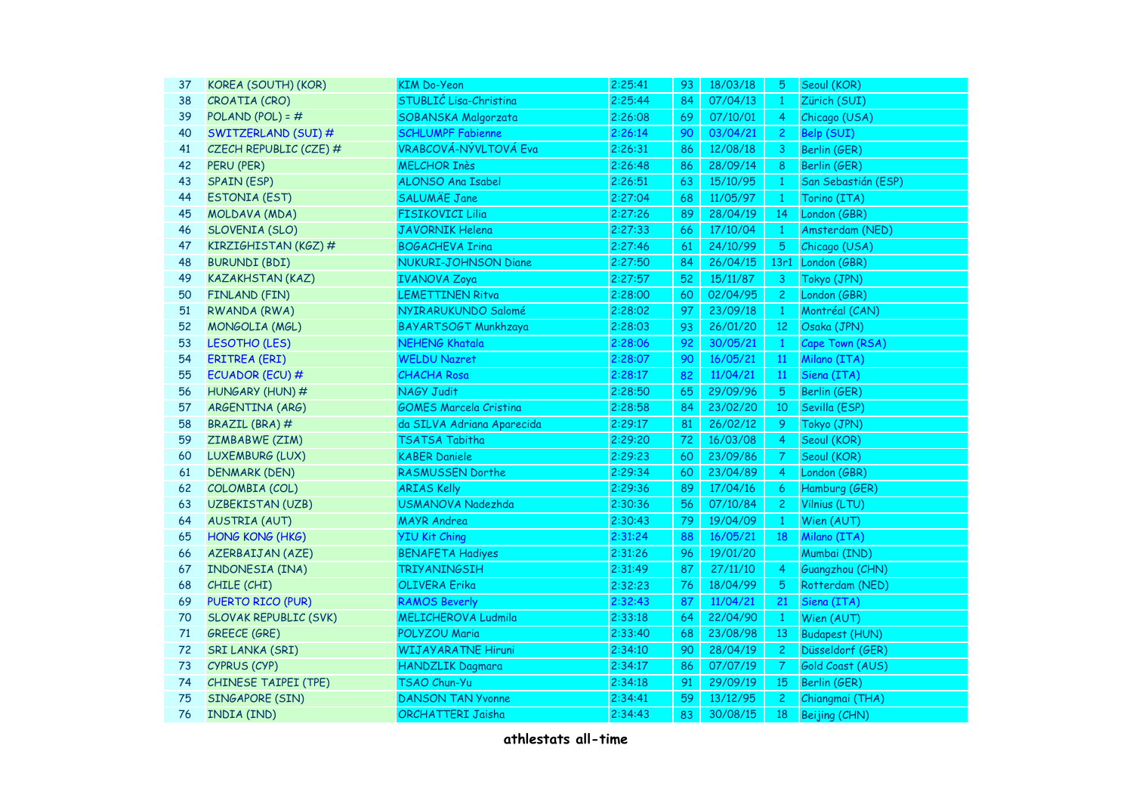| KOREA (SOUTH) (KOR)          | <b>KIM Do-Yeon</b>            | 2:25:41 | 93 | 18/03/18 | 5.             | Seoul (KOR)           |
|------------------------------|-------------------------------|---------|----|----------|----------------|-----------------------|
| CROATIA (CRO)                | STUBLIĆ Lisa-Christina        | 2:25:44 | 84 | 07/04/13 | $\mathbf{1}$   | Zürich (SUI)          |
| POLAND (POL) = $#$           | SOBANSKA Malgorzata           | 2:26:08 | 69 | 07/10/01 | $\overline{4}$ | Chicago (USA)         |
| SWITZERLAND (SUI) #          | <b>SCHLUMPF Fabienne</b>      | 2:26:14 | 90 | 03/04/21 | $\overline{2}$ | Belp (SUI)            |
| CZECH REPUBLIC (CZE) #       | <b>VRABCOVÁ-NÝVLTOVÁ Eva</b>  | 2:26:31 | 86 | 12/08/18 | 3              | Berlin (GER)          |
| PERU (PER)                   | <b>MELCHOR Inès</b>           | 2:26:48 | 86 | 28/09/14 | 8              | Berlin (GER)          |
| <b>SPAIN (ESP)</b>           | ALONSO Ana Isabel             | 2:26:51 | 63 | 15/10/95 | $\mathbf{1}$   | San Sebastián (ESP)   |
| <b>ESTONIA (EST)</b>         | <b>SALUMÄE Jane</b>           | 2:27:04 | 68 | 11/05/97 | $\mathbf{1}$   | Torino (ITA)          |
| MOLDAVA (MDA)                | <b>FISIKOVICI Lilia</b>       | 2:27:26 | 89 | 28/04/19 | 14             | London (GBR)          |
| SLOVENIA (SLO)               | <b>JAVORNIK Helena</b>        | 2:27:33 | 66 | 17/10/04 | $\mathbf{1}$   | Amsterdam (NED)       |
| KIRZIGHISTAN (KGZ) #         | <b>BOGACHEVA Irina</b>        | 2:27:46 | 61 | 24/10/99 | 5 <sub>5</sub> | Chicago (USA)         |
| <b>BURUNDI (BDI)</b>         | <b>NUKURI-JOHNSON Diane</b>   | 2:27:50 | 84 | 26/04/15 |                | 13r1 London (GBR)     |
| <b>KAZAKHSTAN (KAZ)</b>      | <b>IVANOVA Zoya</b>           | 2:27:57 | 52 | 15/11/87 | 3              | Tokyo (JPN)           |
| FINLAND (FIN)                | <b>LEMETTINEN Ritva</b>       | 2:28:00 | 60 | 02/04/95 | $\overline{c}$ | London (GBR)          |
| RWANDA (RWA)                 | NYIRARUKUNDO Salomé           | 2:28:02 | 97 | 23/09/18 | $\mathbf{1}$   | Montréal (CAN)        |
| MONGOLIA (MGL)               | BAYARTSOGT Munkhzaya          | 2:28:03 | 93 | 26/01/20 | 12             | Osaka (JPN)           |
| LESOTHO (LES)                | <b>NEHENG Khatala</b>         | 2:28:06 | 92 | 30/05/21 | $\mathbf{1}$   | Cape Town (RSA)       |
| <b>ERITREA (ERI)</b>         | <b>WELDU Nazret</b>           | 2:28:07 | 90 | 16/05/21 | <b>11</b>      | Milano (ITA)          |
| ECUADOR (ECU) #              | <b>CHACHA Rosa</b>            | 2:28:17 | 82 | 11/04/21 | 11             | Siena (ITA)           |
| HUNGARY (HUN) #              | NAGY Judit                    | 2:28:50 | 65 | 29/09/96 | 5              | Berlin (GER)          |
| ARGENTINA (ARG)              | <b>GOMES Marcela Cristina</b> | 2:28:58 | 84 | 23/02/20 | 10             | Sevilla (ESP)         |
| BRAZIL (BRA) #               | da SILVA Adriana Aparecida    | 2:29:17 | 81 | 26/02/12 | 9              | Tokyo (JPN)           |
| ZIMBABWE (ZIM)               | TSATSA Tabitha                | 2:29:20 | 72 | 16/03/08 | $\overline{4}$ | Seoul (KOR)           |
| LUXEMBURG (LUX)              | <b>KABER Daniele</b>          | 2:29:23 | 60 | 23/09/86 | $\mathcal{T}$  | Seoul (KOR)           |
| <b>DENMARK (DEN)</b>         | RASMUSSEN Dorthe              | 2:29:34 | 60 | 23/04/89 | $\overline{4}$ | London (GBR)          |
| COLOMBIA (COL)               | <b>ARIAS Kelly</b>            | 2:29:36 | 89 | 17/04/16 | 6              | Hamburg (GER)         |
| <b>UZBEKISTAN (UZB)</b>      | USMANOVA Nadezhda             | 2:30:36 | 56 | 07/10/84 | $\mathbf{2}$   | Vilnius (LTU)         |
| <b>AUSTRIA (AUT)</b>         | <b>MAYR Andrea</b>            | 2:30:43 | 79 | 19/04/09 | $\mathbf{1}$   | Wien (AUT)            |
| HONG KONG (HKG)              | <b>YIU Kit Ching</b>          | 2:31:24 | 88 | 16/05/21 | 18             | Milano (ITA)          |
| <b>AZERBAIJAN (AZE)</b>      | <b>BENAFETA Hadiyes</b>       | 2:31:26 | 96 | 19/01/20 |                | Mumbai (IND)          |
| INDONESIA (INA)              | <b>TRIYANINGSIH</b>           | 2:31:49 | 87 | 27/11/10 | $\overline{4}$ | Guangzhou (CHN)       |
| CHILE (CHI)                  | <b>OLIVERA Erika</b>          | 2:32:23 | 76 | 18/04/99 | $\overline{5}$ | Rotterdam (NED)       |
| PUERTO RICO (PUR)            | <b>RAMOS Beverly</b>          | 2:32:43 | 87 | 11/04/21 | 21             | Siena (ITA)           |
| <b>SLOVAK REPUBLIC (SVK)</b> | <b>MELICHEROVA Ludmila</b>    | 2:33:18 | 64 | 22/04/90 | $\mathbf{1}$   | Wien (AUT)            |
| <b>GREECE (GRE)</b>          | POLYZOU Maria                 | 2:33:40 | 68 | 23/08/98 | 13             | <b>Budapest (HUN)</b> |
| <b>SRI LANKA (SRI)</b>       | <b>WIJAYARATNE Hiruni</b>     | 2:34:10 | 90 | 28/04/19 | $\overline{c}$ | Düsseldorf (GER)      |
| CYPRUS (CYP)                 | <b>HANDZLIK Dagmara</b>       | 2:34:17 | 86 | 07/07/19 | 7              | Gold Coast (AUS)      |
| CHINESE TAIPEI (TPE)         | TSAO Chun-Yu                  | 2:34:18 | 91 | 29/09/19 | 15             | Berlin (GER)          |
| SINGAPORE (SIN)              | <b>DANSON TAN Yvonne</b>      | 2:34:41 | 59 | 13/12/95 | $\overline{c}$ | Chiangmai (THA)       |
| INDIA (IND)                  | ORCHATTERI Jaisha             | 2:34:43 | 83 | 30/08/15 | 18             | Beijing (CHN)         |
|                              |                               |         |    |          |                |                       |